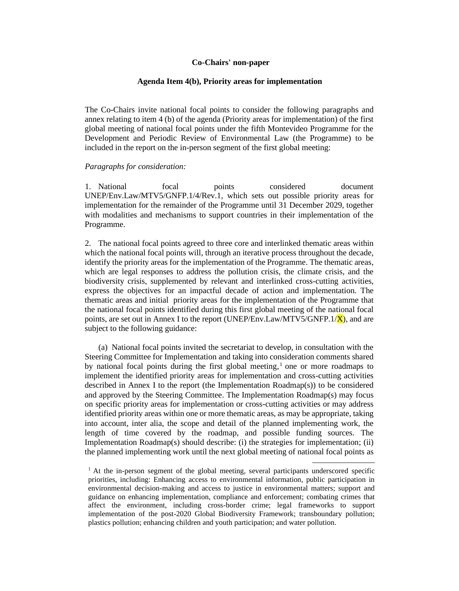#### **Co-Chairs' non-paper**

#### **Agenda Item 4(b), Priority areas for implementation**

The Co-Chairs invite national focal points to consider the following paragraphs and annex relating to item 4 (b) of the agenda (Priority areas for implementation) of the first global meeting of national focal points under the fifth Montevideo Programme for the Development and Periodic Review of Environmental Law (the Programme) to be included in the report on the in-person segment of the first global meeting:

#### *Paragraphs for consideration:*

1. National focal points considered document UNEP/Env.Law/MTV5/GNFP.1/4/Rev.1, which sets out possible priority areas for implementation for the remainder of the Programme until 31 December 2029, together with modalities and mechanisms to support countries in their implementation of the Programme.

2. The national focal points agreed to three core and interlinked thematic areas within which the national focal points will, through an iterative process throughout the decade, identify the priority areas for the implementation of the Programme. The thematic areas, which are legal responses to address the pollution crisis, the climate crisis, and the biodiversity crisis, supplemented by relevant and interlinked cross-cutting activities, express the objectives for an impactful decade of action and implementation. The thematic areas and initial priority areas for the implementation of the Programme that the national focal points identified during this first global meeting of the national focal points, are set out in Annex I to the report (UNEP/Env.Law/MTV5/GNFP.1/ $\bar{X}$ ), and are subject to the following guidance:

(a) National focal points invited the secretariat to develop, in consultation with the Steering Committee for Implementation and taking into consideration comments shared by national focal points during the first global meeting, <sup>1</sup> one or more roadmaps to implement the identified priority areas for implementation and cross-cutting activities described in Annex I to the report (the Implementation Roadmap(s)) to be considered and approved by the Steering Committee. The Implementation Roadmap(s) may focus on specific priority areas for implementation or cross-cutting activities or may address identified priority areas within one or more thematic areas, as may be appropriate, taking into account, inter alia, the scope and detail of the planned implementing work, the length of time covered by the roadmap, and possible funding sources. The Implementation Roadmap(s) should describe: (i) the strategies for implementation; (ii) the planned implementing work until the next global meeting of national focal points as

 $<sup>1</sup>$  At the in-person segment of the global meeting, several participants underscored specific</sup> priorities, including: Enhancing access to environmental information, public participation in environmental decision-making and access to justice in environmental matters; support and guidance on enhancing implementation, compliance and enforcement; combating crimes that affect the environment, including cross-border crime; legal frameworks to support implementation of the post-2020 Global Biodiversity Framework; transboundary pollution; plastics pollution; enhancing children and youth participation; and water pollution.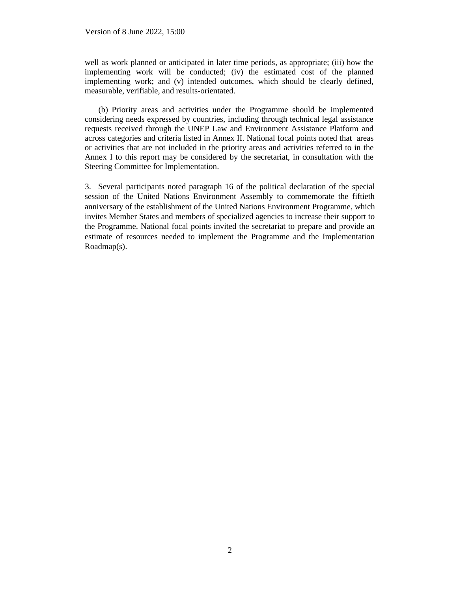well as work planned or anticipated in later time periods, as appropriate; (iii) how the implementing work will be conducted; (iv) the estimated cost of the planned implementing work; and (v) intended outcomes, which should be clearly defined, measurable, verifiable, and results-orientated.

(b) Priority areas and activities under the Programme should be implemented considering needs expressed by countries, including through technical legal assistance requests received through the UNEP Law and Environment Assistance Platform and across categories and criteria listed in Annex II. National focal points noted that areas or activities that are not included in the priority areas and activities referred to in the Annex I to this report may be considered by the secretariat, in consultation with the Steering Committee for Implementation.

3. Several participants noted paragraph 16 of the political declaration of the special session of the United Nations Environment Assembly to commemorate the fiftieth anniversary of the establishment of the United Nations Environment Programme, which invites Member States and members of specialized agencies to increase their support to the Programme. National focal points invited the secretariat to prepare and provide an estimate of resources needed to implement the Programme and the Implementation Roadmap(s).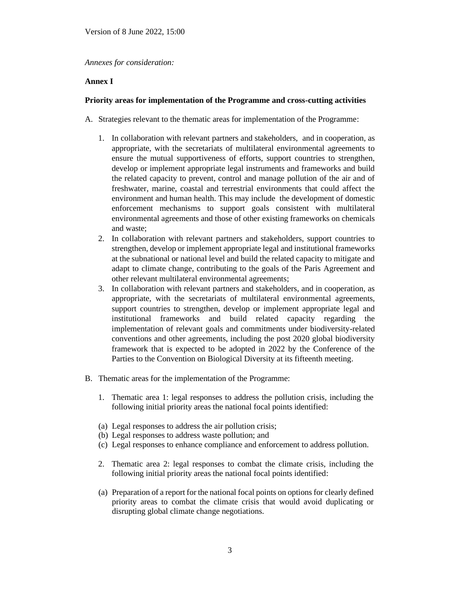*Annexes for consideration:*

## **Annex I**

## **Priority areas for implementation of the Programme and cross-cutting activities**

- A. Strategies relevant to the thematic areas for implementation of the Programme:
	- 1. In collaboration with relevant partners and stakeholders, and in cooperation, as appropriate, with the secretariats of multilateral environmental agreements to ensure the mutual supportiveness of efforts, support countries to strengthen, develop or implement appropriate legal instruments and frameworks and build the related capacity to prevent, control and manage pollution of the air and of freshwater, marine, coastal and terrestrial environments that could affect the environment and human health. This may include the development of domestic enforcement mechanisms to support goals consistent with multilateral environmental agreements and those of other existing frameworks on chemicals and waste;
	- 2. In collaboration with relevant partners and stakeholders, support countries to strengthen, develop or implement appropriate legal and institutional frameworks at the subnational or national level and build the related capacity to mitigate and adapt to climate change, contributing to the goals of the Paris Agreement and other relevant multilateral environmental agreements;
	- 3. In collaboration with relevant partners and stakeholders, and in cooperation, as appropriate, with the secretariats of multilateral environmental agreements, support countries to strengthen, develop or implement appropriate legal and institutional frameworks and build related capacity regarding the implementation of relevant goals and commitments under biodiversity-related conventions and other agreements, including the post 2020 global biodiversity framework that is expected to be adopted in 2022 by the Conference of the Parties to the Convention on Biological Diversity at its fifteenth meeting.
- B. Thematic areas for the implementation of the Programme:
	- 1. Thematic area 1: legal responses to address the pollution crisis, including the following initial priority areas the national focal points identified:
	- (a) Legal responses to address the air pollution crisis;
	- (b) Legal responses to address waste pollution; and
	- (c) Legal responses to enhance compliance and enforcement to address pollution.
	- 2. Thematic area 2: legal responses to combat the climate crisis, including the following initial priority areas the national focal points identified:
	- (a) Preparation of a report for the national focal points on options for clearly defined priority areas to combat the climate crisis that would avoid duplicating or disrupting global climate change negotiations.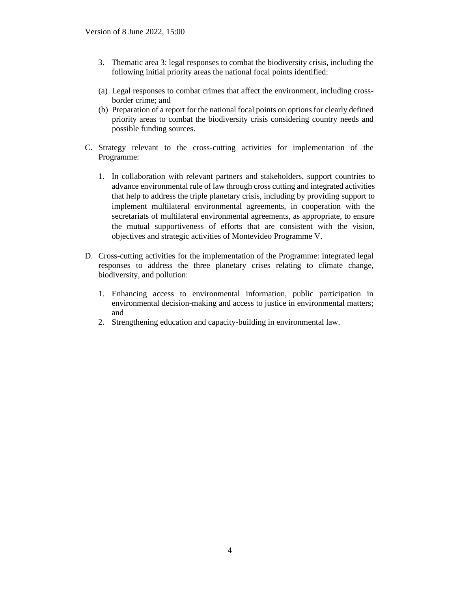- 3. Thematic area 3: legal responses to combat the biodiversity crisis, including the following initial priority areas the national focal points identified:
- (a) Legal responses to combat crimes that affect the environment, including crossborder crime; and
- (b) Preparation of a report for the national focal points on options for clearly defined priority areas to combat the biodiversity crisis considering country needs and possible funding sources.
- C. Strategy relevant to the cross-cutting activities for implementation of the Programme:
	- 1. In collaboration with relevant partners and stakeholders, support countries to advance environmental rule of law through cross cutting and integrated activities that help to address the triple planetary crisis, including by providing support to implement multilateral environmental agreements, in cooperation with the secretariats of multilateral environmental agreements, as appropriate, to ensure the mutual supportiveness of efforts that are consistent with the vision, objectives and strategic activities of Montevideo Programme V.
- D. Cross-cutting activities for the implementation of the Programme: integrated legal responses to address the three planetary crises relating to climate change, biodiversity, and pollution:
	- 1. Enhancing access to environmental information, public participation in environmental decision-making and access to justice in environmental matters; and
	- 2. Strengthening education and capacity-building in environmental law.